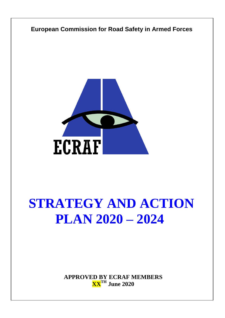

# **PLAN 2020 – 2024**

**APPROVED BY ECRAF MEMBERS XXTH June 2020**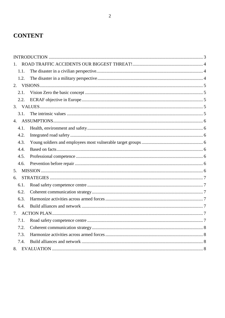# **CONTENT**

| $1 -$ |      |  |  |
|-------|------|--|--|
|       | 1.1. |  |  |
|       | 1.2. |  |  |
|       |      |  |  |
|       | 2.1. |  |  |
|       | 2.2. |  |  |
|       |      |  |  |
|       | 3.1. |  |  |
| 4.    |      |  |  |
|       | 4.1. |  |  |
|       | 4.2. |  |  |
|       | 4.3. |  |  |
|       | 4.4. |  |  |
|       | 4.5. |  |  |
|       | 4.6. |  |  |
| 5.    |      |  |  |
| 6.    |      |  |  |
|       | 6.1. |  |  |
|       | 6.2. |  |  |
|       | 6.3. |  |  |
|       | 6.4. |  |  |
| 7.    |      |  |  |
|       | 7.1. |  |  |
|       | 7.2. |  |  |
|       | 7.3. |  |  |
|       | 7.4. |  |  |
|       |      |  |  |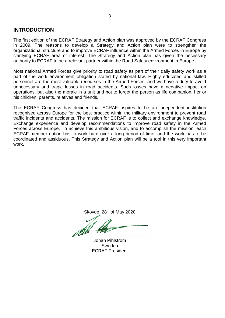# <span id="page-2-0"></span>**INTRODUCTION**

The first edition of the ECRAF Strategy and Action plan was approved by the ECRAF Congress in 2009. The reasons to develop a Strategy and Action plan were to strengthen the organizational structure and to improve ECRAF influence within the Armed Forces in Europe by clarifying ECRAF area of interest. The Strategy and Action plan has given the necessary authority to ECRAF to be a relevant partner within the Road Safety environment in Europe.

Most national Armed Forces give priority to road safety as part of their daily safety work as a part of the work environment obligation stated by national law. Highly educated and skilled personnel are the most valuable recourses in the Armed Forces, and we have a duty to avoid unnecessary and tragic losses in road accidents. Such losses have a negative impact on operations, but also the morale in a unit and not to forget the person as life companion, her or his children, parents, relatives and friends.

The ECRAF Congress has decided that ECRAF aspires to be an independent institution recognised across Europe for the best practice within the military environment to prevent road traffic incidents and accidents. The mission for ECRAF is to collect and exchange knowledge. Exchange experience and develop recommendations to improve road safety in the Armed Forces across Europe. To achieve this ambitious vision, and to accomplish the mission, each ECRAF member nation has to work hard over a long period of time, and the work has to be coordinated and assiduous. This Strategy and Action plan will be a tool in this very important work.

Skövde,  $28<sup>th</sup>$  of May 2020

Johan Pihlström Sweden ECRAF President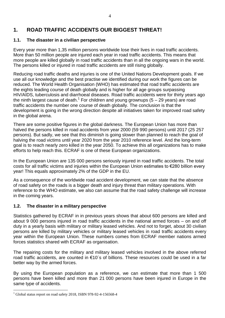# <span id="page-3-0"></span>**1. ROAD TRAFFIC ACCIDENTS OUR BIGGEST THREAT!**

# <span id="page-3-1"></span>**1.1. The disaster in a civilian perspective**

Every year more than 1,35 million persons worldwide lose their lives in road traffic accidents. More than 50 million people are injured each year in road traffic accidents. This means that more people are killed globally in road traffic accidents than in all the ongoing wars in the world. The persons killed or injured in road traffic accidents are still rising globally.

Reducing road traffic deaths and injuries is one of the United Nations Development goals. If we use all our knowledge and the best practise we identified during our work the figures can be reduced. The World Health Organisation (WHO) has estimated that road traffic accidents are the eights leading course of death globally and is higher for all age groups surpassing HIV/AIDS, tuberculosis and diarrhoeal diseases. Road traffic accidents were for thirty years ago the ninth largest cause of death.<sup>1</sup> For children and young grownups (5 – 29 years) are road traffic accidents the number one course of death globally. The conclusion is that the development is going in the wrong direction despite all initiatives taken for improved road safety in the global arena.

There are some positive figures in the global darkness. The European Union has more than halved the persons killed in road accidents from year 2000 (59 990 persons) until 2017 (25 257 persons). But sadly, we see that this diminish is going slower than planned to reach the goal of halving the road victims until year 2020 from the year 2010 reference level. And the long-term goal is to reach nearly zero killed in the year 2050. To achieve this all organizations has to make efforts to help reach this. ECRAF is one of these European organizations.

In the European Union are 135 000 persons seriously injured in road traffic accidents. The total costs for all traffic victims and injuries within the European Union estimates to €280 billion every year! This equals approximately 2% of the GDP in the EU.

As a consequence of the worldwide road accident development, we can state that the absence of road safety on the roads is a bigger death and injury threat than military operations. With reference to the WHO estimate, we also can assume that the road safety challenge will increase in the coming years.

# <span id="page-3-2"></span>**1.2. The disaster in a military perspective**

Statistics gathered by ECRAF in in previous years shows that about 600 persons are killed and about 9 000 persons injured in road traffic accidents in the national armed forces – on and off duty in a yearly basis with military or military leased vehicles. And not to forget, about 30 civilian persons are killed by military vehicles or military leased vehicles in road traffic accidents every year within the European Union. These numbers comes from ECRAF member nations armed forces statistics shared with ECRAF as organisation.

The repairing costs for the military and military leased vehicles involved in the above referred road traffic accidents, are counted in €10´s of billions. These resources could be used in a far better way by the armed forces.

By using the European population as a reference, we can estimate that more than 1 500 persons have been killed and more than 21 000 persons have been injured in Europe in the same type of accidents.

 $\overline{a}$ 

<sup>1</sup> Global status report on road safety 2018, ISBN 978-92-4-156568-4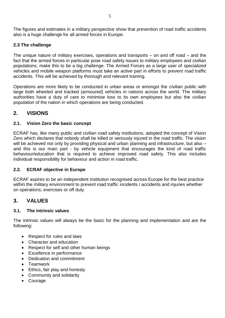The figures and estimates in a military perspective show that prevention of road traffic accidents also is a huge challenge for all armed forces in Europe.

# **2.3 The challenge**

The unique nature of military exercises, operations and transports – on and off road – and the fact that the armed forces in particular pose road safety issues to military employees and civilian populations, make this to be a big challenge. The Armed Forces as a large user of specialized vehicles and mobile weapon platforms must take an active part in efforts to prevent road traffic accidents. This will be achieved by thorough and relevant training.

Operations are more likely to be conducted in urban areas or amongst the civilian public with large both wheeled and tracked (armoured) vehicles in nations across the world. The military authorities have a duty of care to minimise loss to its own employees but also the civilian population of the nation in which operations are being conducted.

# <span id="page-4-0"></span>**2. VISIONS**

# <span id="page-4-1"></span>**2.1. Vision Zero the basic concept**

ECRAF has, like many public and civilian road safety institutions, adopted the concept of Vision Zero which declares that nobody shall be killed or seriously injured in the road traffic. The vision will be achieved not only by providing physical and urban planning and infrastructure, but also – and this is our main part - by vehicle equipment that encourages the kind of road traffic behaviour/education that is required to achieve improved road safety. This also includes individual responsibility for behaviour and action in road traffic.

# <span id="page-4-2"></span>**2.2. ECRAF objective in Europe**

ECRAF aspires to be an independent institution recognised across Europe for the best practice within the military environment to prevent road traffic incidents / accidents and injuries whether on operations, exercises or off duty.

# <span id="page-4-3"></span>**3. VALUES**

# <span id="page-4-4"></span>**3.1. The intrinsic values**

The intrinsic values will always be the basic for the planning and implementation and are the following:

- Respect for rules and laws
- Character and education
- Respect for self and other human beings
- Excellence in performance
- Dedication and commitment
- **•** Teamwork
- Ethics, fair play and honesty
- Community and solidarity
- Courage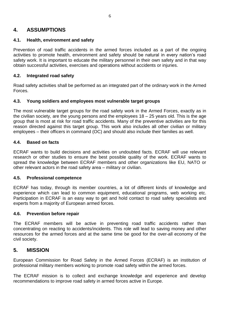# <span id="page-5-0"></span>**4. ASSUMPTIONS**

# <span id="page-5-1"></span>**4.1. Health, environment and safety**

Prevention of road traffic accidents in the armed forces included as a part of the ongoing activities to promote health, environment and safety should be natural in every nation's road safety work. It is important to educate the military personnel in their own safety and in that way obtain successful activities, exercises and operations without accidents or injuries.

# <span id="page-5-2"></span>**4.2. Integrated road safety**

Road safety activities shall be performed as an integrated part of the ordinary work in the Armed Forces.

# <span id="page-5-3"></span>**4.3. Young soldiers and employees most vulnerable target groups**

The most vulnerable target groups for the road safety work in the Armed Forces, exactly as in the civilian society, are the young persons and the employees 18 – 25 years old. This is the age group that is most at risk for road traffic accidents. Many of the preventive activities are for this reason directed against this target group. This work also includes all other civilian or military employees – their officers in command (OC) and should also include their families as well.

# <span id="page-5-4"></span>**4.4. Based on facts**

ECRAF wants to build decisions and activities on undoubted facts. ECRAF will use relevant research or other studies to ensure the best possible quality of the work. ECRAF wants to spread the knowledge between ECRAF members and other organizations like EU, NATO or other relevant actors in the road safety area – military or civilian.

#### <span id="page-5-5"></span>**4.5. Professional competence**

ECRAF has today, through its member countries, a lot of different kinds of knowledge and experience which can lead to common equipment, educational programs, web working etc. Participation in ECRAF is an easy way to get and hold contact to road safety specialists and experts from a majority of European armed forces.

#### <span id="page-5-6"></span>**4.6. Prevention before repair**

The ECRAF members will be active in preventing road traffic accidents rather than concentrating on reacting to accidents/incidents. This role will lead to saving money and other resources for the armed forces and at the same time be good for the over-all economy of the civil society.

# <span id="page-5-7"></span>**5. MISSION**

European Commission for Road Safety in the Armed Forces (ECRAF) is an institution of professional military members working to promote road safety within the armed forces.

The ECRAF mission is to collect and exchange knowledge and experience and develop recommendations to improve road safety in armed forces active in Europe.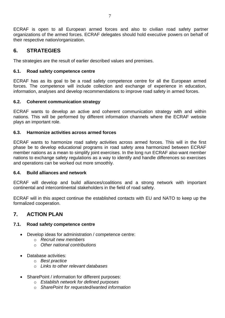ECRAF is open to all European armed forces and also to civilian road safety partner organizations of the armed forces. ECRAF delegates should hold executive powers on behalf of their respective nation/organization.

# <span id="page-6-0"></span>**6. STRATEGIES**

The strategies are the result of earlier described values and premises.

## <span id="page-6-1"></span>**6.1. Road safety competence centre**

ECRAF has as its goal to be a road safety competence centre for all the European armed forces. The competence will include collection and exchange of experience in education, information, analyses and develop recommendations to improve road safety in armed forces.

## <span id="page-6-2"></span>**6.2. Coherent communication strategy**

ECRAF wants to develop an active and coherent communication strategy with and within nations. This will be performed by different information channels where the ECRAF website plays an important role.

#### <span id="page-6-3"></span>**6.3. Harmonize activities across armed forces**

ECRAF wants to harmonize road safety activities across armed forces. This will in the first phase be to develop educational programs in road safety area harmonized between ECRAF member nations as a mean to simplify joint exercises. In the long run ECRAF also want member nations to exchange safety regulations as a way to identify and handle differences so exercises and operations can be worked out more smoothly.

#### <span id="page-6-4"></span>**6.4. Build alliances and network**

ECRAF will develop and build alliances/coalitions and a strong network with important continental and intercontinental stakeholders in the field of road safety.

ECRAF will in this aspect continue the established contacts with EU and NATO to keep up the formalized cooperation.

# <span id="page-6-5"></span>**7. ACTION PLAN**

# <span id="page-6-6"></span>**7.1. Road safety competence centre**

- Develop ideas for administration / competence centre:
	- o *Recruit new members*
	- o *Other national contributions*
- Database activities:
	- o *Best practice*
	- o *Links to other relevant databases*
- SharePoint / information for different purposes:
	- o *Establish network for defined purposes*
	- o *SharePoint for requested/wanted information*